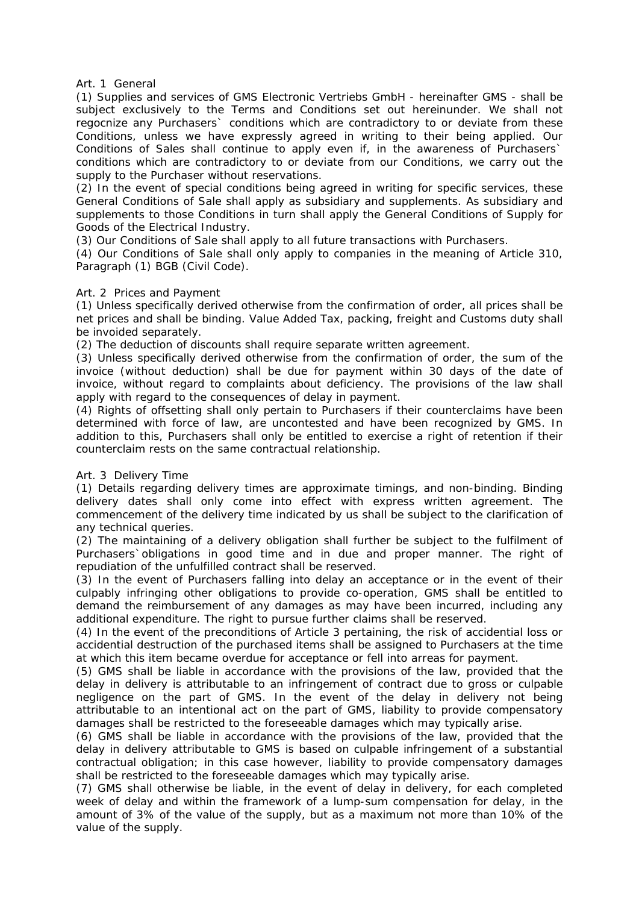#### Art. 1 General

(1) Supplies and services of GMS Electronic Vertriebs GmbH - hereinafter GMS - shall be subject exclusively to the Terms and Conditions set out hereinunder. We shall not regocnize any Purchasers` conditions which are contradictory to or deviate from these Conditions, unless we have expressly agreed in writing to their being applied. Our Conditions of Sales shall continue to apply even if, in the awareness of Purchasers` conditions which are contradictory to or deviate from our Conditions, we carry out the supply to the Purchaser without reservations.

(2) In the event of special conditions being agreed in writing for specific services, these General Conditions of Sale shall apply as subsidiary and supplements. As subsidiary and supplements to those Conditions in turn shall apply the General Conditions of Supply for Goods of the Electrical Industry.

(3) Our Conditions of Sale shall apply to all future transactions with Purchasers.

(4) Our Conditions of Sale shall only apply to companies in the meaning of Article 310, Paragraph (1) BGB (Civil Code).

#### Art. 2 Prices and Payment

(1) Unless specifically derived otherwise from the confirmation of order, all prices shall be net prices and shall be binding. Value Added Tax, packing, freight and Customs duty shall be invoided separately.

(2) The deduction of discounts shall require separate written agreement.

(3) Unless specifically derived otherwise from the confirmation of order, the sum of the invoice (without deduction) shall be due for payment within 30 days of the date of invoice, without regard to complaints about deficiency. The provisions of the law shall apply with regard to the consequences of delay in payment.

(4) Rights of offsetting shall only pertain to Purchasers if their counterclaims have been determined with force of law, are uncontested and have been recognized by GMS. In addition to this, Purchasers shall only be entitled to exercise a right of retention if their counterclaim rests on the same contractual relationship.

## Art. 3 Delivery Time

(1) Details regarding delivery times are approximate timings, and non-binding. Binding delivery dates shall only come into effect with express written agreement. The commencement of the delivery time indicated by us shall be subject to the clarification of any technical queries.

(2) The maintaining of a delivery obligation shall further be subject to the fulfilment of Purchasers`obligations in good time and in due and proper manner. The right of repudiation of the unfulfilled contract shall be reserved.

(3) In the event of Purchasers falling into delay an acceptance or in the event of their culpably infringing other obligations to provide co-operation, GMS shall be entitled to demand the reimbursement of any damages as may have been incurred, including any additional expenditure. The right to pursue further claims shall be reserved.

(4) In the event of the preconditions of Article 3 pertaining, the risk of accidential loss or accidential destruction of the purchased items shall be assigned to Purchasers at the time at which this item became overdue for acceptance or fell into arreas for payment.

(5) GMS shall be liable in accordance with the provisions of the law, provided that the delay in delivery is attributable to an infringement of contract due to gross or culpable negligence on the part of GMS. In the event of the delay in delivery not being attributable to an intentional act on the part of GMS, liability to provide compensatory damages shall be restricted to the foreseeable damages which may typically arise.

(6) GMS shall be liable in accordance with the provisions of the law, provided that the delay in delivery attributable to GMS is based on culpable infringement of a substantial contractual obligation; in this case however, liability to provide compensatory damages shall be restricted to the foreseeable damages which may typically arise.

(7) GMS shall otherwise be liable, in the event of delay in delivery, for each completed week of delay and within the framework of a lump-sum compensation for delay, in the amount of 3% of the value of the supply, but as a maximum not more than 10% of the value of the supply.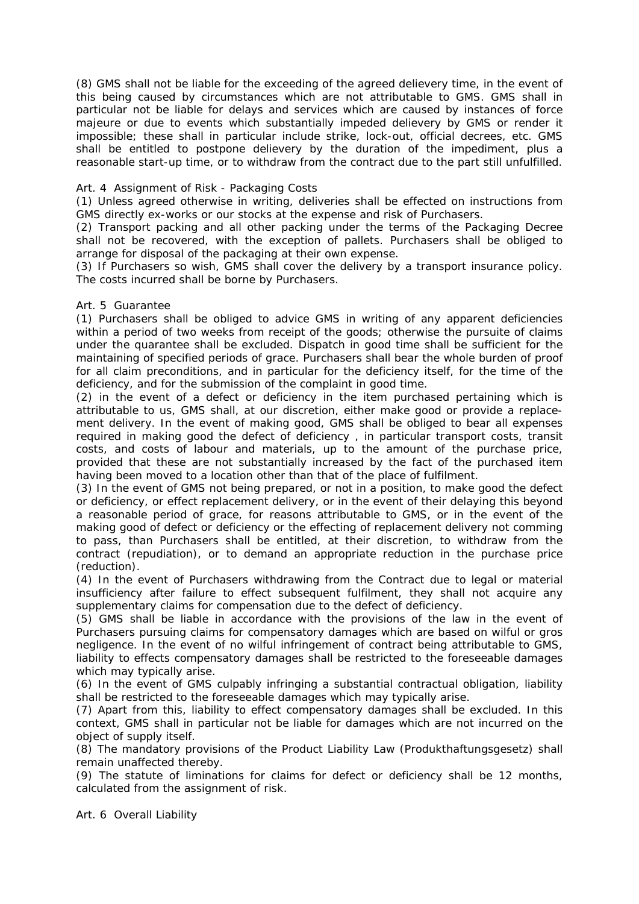(8) GMS shall not be liable for the exceeding of the agreed delievery time, in the event of this being caused by circumstances which are not attributable to GMS. GMS shall in particular not be liable for delays and services which are caused by instances of force majeure or due to events which substantially impeded delievery by GMS or render it impossible; these shall in particular include strike, lock-out, official decrees, etc. GMS shall be entitled to postpone delievery by the duration of the impediment, plus a reasonable start-up time, or to withdraw from the contract due to the part still unfulfilled.

# Art. 4 Assignment of Risk - Packaging Costs

(1) Unless agreed otherwise in writing, deliveries shall be effected on instructions from GMS directly ex-works or our stocks at the expense and risk of Purchasers.

(2) Transport packing and all other packing under the terms of the Packaging Decree shall not be recovered, with the exception of pallets. Purchasers shall be obliged to arrange for disposal of the packaging at their own expense.

(3) If Purchasers so wish, GMS shall cover the delivery by a transport insurance policy. The costs incurred shall be borne by Purchasers.

## Art. 5 Guarantee

(1) Purchasers shall be obliged to advice GMS in writing of any apparent deficiencies within a period of two weeks from receipt of the goods; otherwise the pursuite of claims under the quarantee shall be excluded. Dispatch in good time shall be sufficient for the maintaining of specified periods of grace. Purchasers shall bear the whole burden of proof for all claim preconditions, and in particular for the deficiency itself, for the time of the deficiency, and for the submission of the complaint in good time.

(2) in the event of a defect or deficiency in the item purchased pertaining which is attributable to us, GMS shall, at our discretion, either make good or provide a replace ment delivery. In the event of making good, GMS shall be obliged to bear all expenses required in making good the defect of deficiency , in particular transport costs, transit costs, and costs of labour and materials, up to the amount of the purchase price, provided that these are not substantially increased by the fact of the purchased item having been moved to a location other than that of the place of fulfilment.

(3) In the event of GMS not being prepared, or not in a position, to make good the defect or deficiency, or effect replacement delivery, or in the event of their delaying this beyond a reasonable period of grace, for reasons attributable to GMS, or in the event of the making good of defect or deficiency or the effecting of replacement delivery not comming to pass, than Purchasers shall be entitled, at their discretion, to withdraw from the contract (repudiation), or to demand an appropriate reduction in the purchase price (reduction).

(4) In the event of Purchasers withdrawing from the Contract due to legal or material insufficiency after failure to effect subsequent fulfilment, they shall not acquire any supplementary claims for compensation due to the defect of deficiency.

(5) GMS shall be liable in accordance with the provisions of the law in the event of Purchasers pursuing claims for compensatory damages which are based on wilful or gros negligence. In the event of no wilful infringement of contract being attributable to GMS, liability to effects compensatory damages shall be restricted to the foreseeable damages which may typically arise.

(6) In the event of GMS culpably infringing a substantial contractual obligation, liability shall be restricted to the foreseeable damages which may typically arise.

(7) Apart from this, liability to effect compensatory damages shall be excluded. In this context, GMS shall in particular not be liable for damages which are not incurred on the object of supply itself.

(8) The mandatory provisions of the Product Liability Law (Produkthaftungsgesetz) shall remain unaffected thereby.

(9) The statute of liminations for claims for defect or deficiency shall be 12 months, calculated from the assignment of risk.

Art. 6 Overall Liability